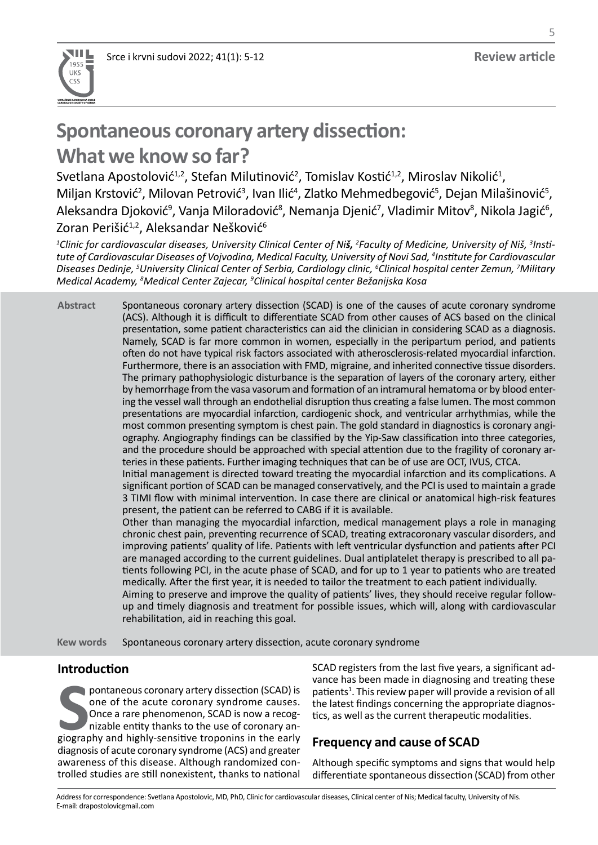

# **Spontaneous coronary artery dissection:**

## **What we know so far?**

Svetlana Apostolović<sup>1,2</sup>, Stefan Milutinović<sup>2</sup>, Tomislav Kostić<sup>1,2</sup>, Miroslav Nikolić<sup>1</sup>, Miljan Krstović<sup>2</sup>, Milovan Petrović<sup>3</sup>, Ivan Ilić<sup>4</sup>, Zlatko Mehmedbegović<sup>5</sup>, Dejan Milašinović<sup>5</sup>, Aleksandra Djoković<sup>9</sup>, Vanja Miloradović<sup>8</sup>, Nemanja Djenić<sup>7</sup>, Vladimir Mitov<sup>8</sup>, Nikola Jagić<sup>6</sup>, Zoran Perišić<sup>1,2</sup>, Aleksandar Nešković<sup>6</sup>

*1 Clinic for cardiovascular diseases, University Clinical Center of Niš, <sup>2</sup> Faculty of Medicine, University of Niš, <sup>3</sup> Insti*tute of Cardiovascular Diseases of Vojvodina, Medical Faculty, University of Novi Sad, <sup>4</sup>Institute for Cardiovascular *Diseases Dedinje, 5 University Clinical Center of Serbia, Cardiology clinic, <sup>6</sup> Clinical hospital center Zemun, 7 Military Medical Academy, <sup>8</sup> Medical Center Zajecar, <sup>9</sup> Clinical hospital center Bežanijska Kosa*

Spontaneous coronary artery dissection (SCAD) is one of the causes of acute coronary syndrome (ACS). Although it is difficult to differentiate SCAD from other causes of ACS based on the clinical presentation, some patient characteristics can aid the clinician in considering SCAD as a diagnosis. Namely, SCAD is far more common in women, especially in the peripartum period, and patients often do not have typical risk factors associated with atherosclerosis-related myocardial infarction. Furthermore, there is an association with FMD, migraine, and inherited connective tissue disorders. The primary pathophysiologic disturbance is the separation of layers of the coronary artery, either by hemorrhage from the vasa vasorum and formation of an intramural hematoma or by blood entering the vessel wall through an endothelial disruption thus creating a false lumen. The most common presentations are myocardial infarction, cardiogenic shock, and ventricular arrhythmias, while the most common presenting symptom is chest pain. The gold standard in diagnostics is coronary angiography. Angiography findings can be classified by the Yip-Saw classification into three categories, and the procedure should be approached with special attention due to the fragility of coronary arteries in these patients. Further imaging techniques that can be of use are OCT, IVUS, CTCA. Initial management is directed toward treating the myocardial infarction and its complications. A **Abstract**

significant portion of SCAD can be managed conservatively, and the PCI is used to maintain a grade 3 TIMI flow with minimal intervention. In case there are clinical or anatomical high-risk features present, the patient can be referred to CABG if it is available.

Other than managing the myocardial infarction, medical management plays a role in managing chronic chest pain, preventing recurrence of SCAD, treating extracoronary vascular disorders, and improving patients' quality of life. Patients with left ventricular dysfunction and patients after PCI are managed according to the current guidelines. Dual antiplatelet therapy is prescribed to all patients following PCI, in the acute phase of SCAD, and for up to 1 year to patients who are treated medically. After the first year, it is needed to tailor the treatment to each patient individually. Aiming to preserve and improve the quality of patients' lives, they should receive regular followup and timely diagnosis and treatment for possible issues, which will, along with cardiovascular rehabilitation, aid in reaching this goal.

Spontaneous coronary artery dissection, acute coronary syndrome **Kew words**

## **Introduction**

pontaneous coronary artery dissection (SCAD) is<br>
once of the acute coronary syndrome causes.<br>
Once a rare phenomenon, SCAD is now a recog-<br>
nizable entity thanks to the use of coronary an-<br>
giography and highly-sensitive t pontaneous coronary artery dissection (SCAD) is one of the acute coronary syndrome causes. Once a rare phenomenon, SCAD is now a recognizable entity thanks to the use of coronary andiagnosis of acute coronary syndrome (ACS) and greater awareness of this disease. Although randomized controlled studies are still nonexistent, thanks to national SCAD registers from the last five years, a significant advance has been made in diagnosing and treating these patients<sup>1</sup>. This review paper will provide a revision of all the latest findings concerning the appropriate diagnostics, as well as the current therapeutic modalities.

## **Frequency and cause of SCAD**

Although specific symptoms and signs that would help differentiate spontaneous dissection (SCAD) from other

Address for correspondence: Svetlana Apostolovic, MD, PhD, Clinic for cardiovascular diseases, Clinical center of Nis; Medical faculty, University of Nis. E-mail: drapostolovicgmail.com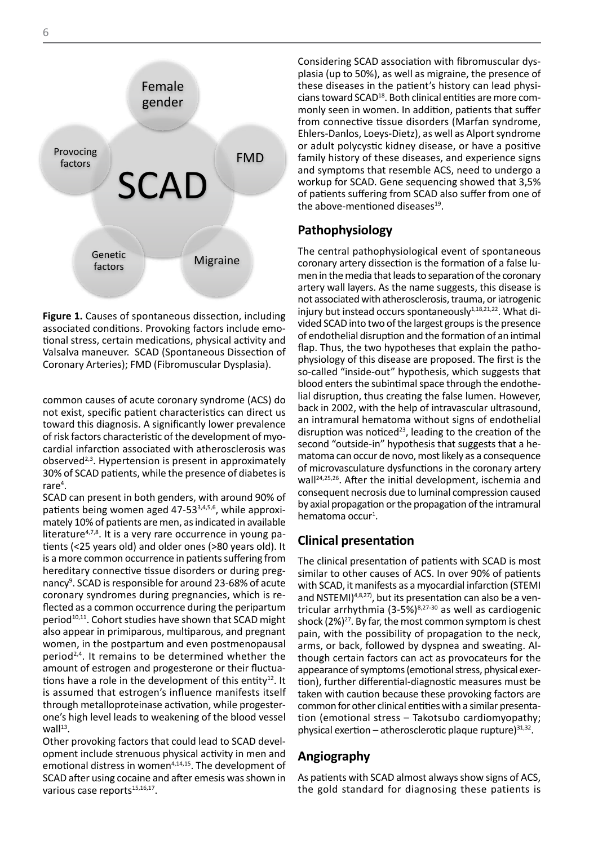

**Figure 1.** Causes of spontaneous dissection, including all lines of the conditions. Provided conditions. Provided conditions. Provided conditions. Provided conditions. Provided conditions. Provided conditions. Provided co associated conditions. Provoking factors include emotional stress, certain medications, physical activity and Valentium units Valsalva maneuver. SCAD (Spontaneous Dissection of Coronary Arteries); FMD (Fibromuscular Dysplasia).

common causes of acute coronary syndrome (ACS) do not exist, specific patient characteristics can direct us toward this diagnosis. A significantly lower prevalence of risk factors characteristic of the development of myocardial infarction associated with atherosclerosis was observed $2,3$ . Hypertension is present in approximately 30% of SCAD patients, while the presence of diabetes is  $r$ are $4$ .

SCAD can present in both genders, with around 90% of patients being women aged  $47-53^{3,4,5,6}$ , while approximately 10% of patients are men, as indicated in available literature<sup>4,7,8</sup>. It is a very rare occurrence in young patients (<25 years old) and older ones (>80 years old). It is a more common occurrence in patients suffering from hereditary connective tissue disorders or during pregnancy<sup>9</sup>. SCAD is responsible for around 23-68% of acute coronary syndromes during pregnancies, which is reflected as a common occurrence during the peripartum period<sup>10,11</sup>. Cohort studies have shown that SCAD might also appear in primiparous, multiparous, and pregnant women, in the postpartum and even postmenopausal period2,4. It remains to be determined whether the amount of estrogen and progesterone or their fluctuations have a role in the development of this entity<sup>12</sup>. It is assumed that estrogen's influence manifests itself through metalloproteinase activation, while progesterone's high level leads to weakening of the blood vessel  $wall<sup>13</sup>$ .

Other provoking factors that could lead to SCAD development include strenuous physical activity in men and emotional distress in women<sup>4,14,15</sup>. The development of SCAD after using cocaine and after emesis was shown in various case reports<sup>15,16,17</sup>.

Considering SCAD association with fibromuscular dysplasia (up to 50%), as well as migraine, the presence of these diseases in the patient's history can lead physicians toward SCAD18. Both clinical entities are more commonly seen in women. In addition, patients that suffer from connective tissue disorders (Marfan syndrome, Ehlers-Danlos, Loeys-Dietz), as well as Alport syndrome or adult polycystic kidney disease, or have a positive family history of these diseases, and experience signs and symptoms that resemble ACS, need to undergo a workup for SCAD. Gene sequencing showed that 3,5% of patients suffering from SCAD also suffer from one of the above-mentioned diseases $19$ .

#### **Pathophysiology**

The central pathophysiological event of spontaneous coronary artery dissection is the formation of a false lumen in the media that leads to separation of the coronary artery wall layers. As the name suggests, this disease is not associated with atherosclerosis, trauma, or iatrogenic injury but instead occurs spontaneously<sup>1,18,21,22</sup>. What divided SCAD into two of the largest groups is the presence of endothelial disruption and the formation of an intimal flap. Thus, the two hypotheses that explain the pathophysiology of this disease are proposed. The first is the so-called "inside-out" hypothesis, which suggests that blood enters the subintimal space through the endothelial disruption, thus creating the false lumen. However, back in 2002, with the help of intravascular ultrasound, an intramural hematoma without signs of endothelial disruption was noticed $23$ , leading to the creation of the second "outside-in" hypothesis that suggests that a hematoma can occur de novo, most likely as a consequence of microvasculature dysfunctions in the coronary artery wall24,25,26. After the initial development, ischemia and consequent necrosis due to luminal compression caused by axial propagation or the propagation of the intramural hematoma occur<sup>1</sup>.

#### **Clinical presentation**

The clinical presentation of patients with SCAD is most similar to other causes of ACS. In over 90% of patients with SCAD, it manifests as a myocardial infarction (STEMI and NSTEMI)<sup>4,8,27</sup>, but its presentation can also be a ventricular arrhythmia  $(3-5%)^{8,27-30}$  as well as cardiogenic shock  $(2\%)^{27}$ . By far, the most common symptom is chest pain, with the possibility of propagation to the neck, arms, or back, followed by dyspnea and sweating. Although certain factors can act as provocateurs for the appearance of symptoms (emotional stress, physical exertion), further differential-diagnostic measures must be taken with caution because these provoking factors are common for other clinical entities with a similar presentation (emotional stress – Takotsubo cardiomyopathy; physical exertion – atherosclerotic plaque rupture $3^{31,32}$ .

### **Angiography**

As patients with SCAD almost always show signs of ACS, the gold standard for diagnosing these patients is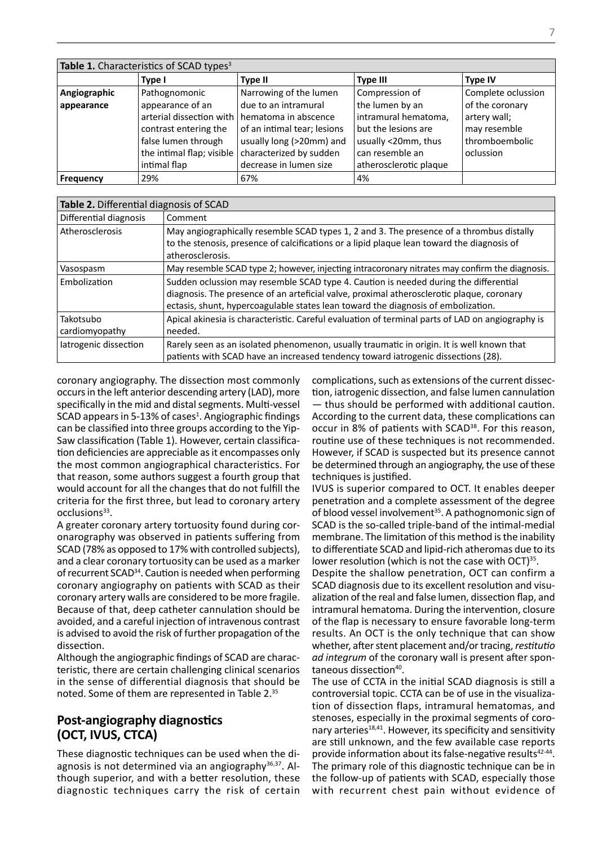| Table 1. Characteristics of SCAD types <sup>3</sup> |                           |                             |                        |                    |
|-----------------------------------------------------|---------------------------|-----------------------------|------------------------|--------------------|
|                                                     | Type I                    | <b>Type II</b>              | <b>Type III</b>        | <b>Type IV</b>     |
| Angiographic                                        | Pathognomonic             | Narrowing of the lumen      | Compression of         | Complete oclussion |
| appearance                                          | appearance of an          | due to an intramural        | the lumen by an        | of the coronary    |
|                                                     | arterial dissection with  | hematoma in abscence        | intramural hematoma,   | artery wall;       |
|                                                     | contrast entering the     | of an intimal tear; lesions | but the lesions are    | may resemble       |
|                                                     | false lumen through       | usually long (>20mm) and    | usually <20mm, thus    | thromboembolic     |
|                                                     | the intimal flap; visible | characterized by sudden     | can resemble an        | oclussion          |
|                                                     | intimal flap              | decrease in lumen size      | atherosclerotic plaque |                    |
| <b>Frequency</b>                                    | 29%                       | 67%                         | 4%                     |                    |

| Table 2. Differential diagnosis of SCAD |                                                                                                                                                                                                                                                                        |  |  |
|-----------------------------------------|------------------------------------------------------------------------------------------------------------------------------------------------------------------------------------------------------------------------------------------------------------------------|--|--|
| Differential diagnosis                  | Comment                                                                                                                                                                                                                                                                |  |  |
| Atherosclerosis                         | May angiographically resemble SCAD types 1, 2 and 3. The presence of a thrombus distally<br>to the stenosis, presence of calcifications or a lipid plaque lean toward the diagnosis of<br>atherosclerosis.                                                             |  |  |
| Vasospasm                               | May resemble SCAD type 2; however, injecting intracoronary nitrates may confirm the diagnosis.                                                                                                                                                                         |  |  |
| Embolization                            | Sudden oclussion may resemble SCAD type 4. Caution is needed during the differential<br>diagnosis. The presence of an arteficial valve, proximal atherosclerotic plaque, coronary<br>ectasis, shunt, hypercoagulable states lean toward the diagnosis of embolization. |  |  |
| Takotsubo<br>cardiomyopathy             | Apical akinesia is characteristic. Careful evaluation of terminal parts of LAD on angiography is<br>needed.                                                                                                                                                            |  |  |
| latrogenic dissection                   | Rarely seen as an isolated phenomenon, usually traumatic in origin. It is well known that<br>patients with SCAD have an increased tendency toward iatrogenic dissections (28).                                                                                         |  |  |

coronary angiography. The dissection most commonly occurs in the left anterior descending artery (LAD), more specifically in the mid and distal segments. Multi-vessel SCAD appears in 5-13% of cases<sup>1</sup>. Angiographic findings can be classified into three groups according to the Yip-Saw classification (Table 1). However, certain classification deficiencies are appreciable as it encompasses only the most common angiographical characteristics. For that reason, some authors suggest a fourth group that would account for all the changes that do not fulfill the criteria for the first three, but lead to coronary artery occlusions<sup>33</sup>.

A greater coronary artery tortuosity found during coronarography was observed in patients suffering from SCAD (78% as opposed to 17% with controlled subjects), and a clear coronary tortuosity can be used as a marker of recurrent SCAD34. Caution is needed when performing coronary angiography on patients with SCAD as their coronary artery walls are considered to be more fragile. Because of that, deep catheter cannulation should be avoided, and a careful injection of intravenous contrast is advised to avoid the risk of further propagation of the dissection.

Although the angiographic findings of SCAD are characteristic, there are certain challenging clinical scenarios in the sense of differential diagnosis that should be noted. Some of them are represented in Table 2.35

## **Post-angiography diagnostics (OCT, IVUS, CTCA)**

These diagnostic techniques can be used when the diagnosis is not determined via an angiography<sup>36,37</sup>. Although superior, and with a better resolution, these diagnostic techniques carry the risk of certain complications, such as extensions of the current dissection, iatrogenic dissection, and false lumen cannulation — thus should be performed with additional caution. According to the current data, these complications can occur in 8% of patients with SCAD<sup>38</sup>. For this reason, routine use of these techniques is not recommended. However, if SCAD is suspected but its presence cannot be determined through an angiography, the use of these techniques is justified.

IVUS is superior compared to OCT. It enables deeper penetration and a complete assessment of the degree of blood vessel involvement<sup>35</sup>. A pathognomonic sign of SCAD is the so-called triple-band of the intimal-medial membrane. The limitation of this method is the inability to differentiate SCAD and lipid-rich atheromas due to its lower resolution (which is not the case with OCT) $35$ .

Despite the shallow penetration, OCT can confirm a SCAD diagnosis due to its excellent resolution and visualization of the real and false lumen, dissection flap, and intramural hematoma. During the intervention, closure of the flap is necessary to ensure favorable long-term results. An OCT is the only technique that can show whether, after stent placement and/or tracing, *restitutio ad integrum* of the coronary wall is present after spontaneous dissection<sup>40</sup>.

The use of CCTA in the initial SCAD diagnosis is still a controversial topic. CCTA can be of use in the visualization of dissection flaps, intramural hematomas, and stenoses, especially in the proximal segments of coronary arteries<sup>18,41</sup>. However, its specificity and sensitivity are still unknown, and the few available case reports provide information about its false-negative results<sup>42-44</sup>. The primary role of this diagnostic technique can be in the follow-up of patients with SCAD, especially those with recurrent chest pain without evidence of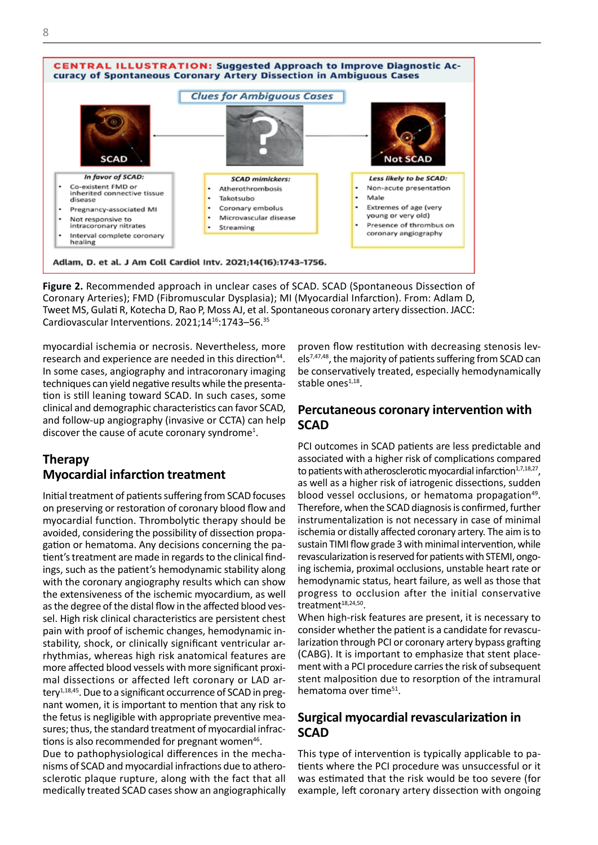

**Figure 2.** Recommended approach in unclear cases of SCAD. SCAD (Spontaneous Dissection of Coronary Arteries); FMD (Fibromuscular Dysplasia); MI (Myocardial Infarction). From: Adlam D, Tweet MS, Gulati R, Kotecha D, Rao P, Moss AJ, et al. Spontaneous coronary artery dissection. JACC: Cardiovascular Interventions. 2021;1416:1743–56.35

myocardial ischemia or necrosis. Nevertheless, more research and experience are needed in this direction<sup>44</sup>. In some cases, angiography and intracoronary imaging techniques can yield negative results while the presentation is still leaning toward SCAD. In such cases, some clinical and demographic characteristics can favor SCAD, and follow-up angiography (invasive or CCTA) can help discover the cause of acute coronary syndrome<sup>1</sup>.

## **Therapy Myocardial infarction treatment**

Initial treatment of patients suffering from SCAD focuses on preserving or restoration of coronary blood flow and myocardial function. Thrombolytic therapy should be avoided, considering the possibility of dissection propagation or hematoma. Any decisions concerning the patient's treatment are made in regards to the clinical findings, such as the patient's hemodynamic stability along with the coronary angiography results which can show the extensiveness of the ischemic myocardium, as well as the degree of the distal flow in the affected blood vessel. High risk clinical characteristics are persistent chest pain with proof of ischemic changes, hemodynamic instability, shock, or clinically significant ventricular arrhythmias, whereas high risk anatomical features are more affected blood vessels with more significant proximal dissections or affected left coronary or LAD artery $1,18,45$ . Due to a significant occurrence of SCAD in pregnant women, it is important to mention that any risk to the fetus is negligible with appropriate preventive measures; thus, the standard treatment of myocardial infractions is also recommended for pregnant women<sup>46</sup>.

Due to pathophysiological differences in the mechanisms of SCAD and myocardial infractions due to atherosclerotic plaque rupture, along with the fact that all medically treated SCAD cases show an angiographically

proven flow restitution with decreasing stenosis levels7,47,48, the majority of patients suffering from SCAD can be conservatively treated, especially hemodynamically stable ones $1,18$ .

### **Percutaneous coronary intervention with SCAD**

PCI outcomes in SCAD patients are less predictable and associated with a higher risk of complications compared to patients with atherosclerotic myocardial infarction $1,7,18,27$ , as well as a higher risk of iatrogenic dissections, sudden blood vessel occlusions, or hematoma propagation<sup>49</sup>. Therefore, when the SCAD diagnosis is confirmed, further instrumentalization is not necessary in case of minimal ischemia or distally affected coronary artery. The aim is to sustain TIMI flow grade 3 with minimal intervention, while revascularization is reserved for patients with STEMI, ongoing ischemia, proximal occlusions, unstable heart rate or hemodynamic status, heart failure, as well as those that progress to occlusion after the initial conservative treatment<sup>18,24,50</sup>.

When high-risk features are present, it is necessary to consider whether the patient is a candidate for revascularization through PCI or coronary artery bypass grafting (CABG). It is important to emphasize that stent placement with a PCI procedure carries the risk of subsequent stent malposition due to resorption of the intramural hematoma over time<sup>51</sup>.

## **Surgical myocardial revascularization in SCAD**

This type of intervention is typically applicable to patients where the PCI procedure was unsuccessful or it was estimated that the risk would be too severe (for example, left coronary artery dissection with ongoing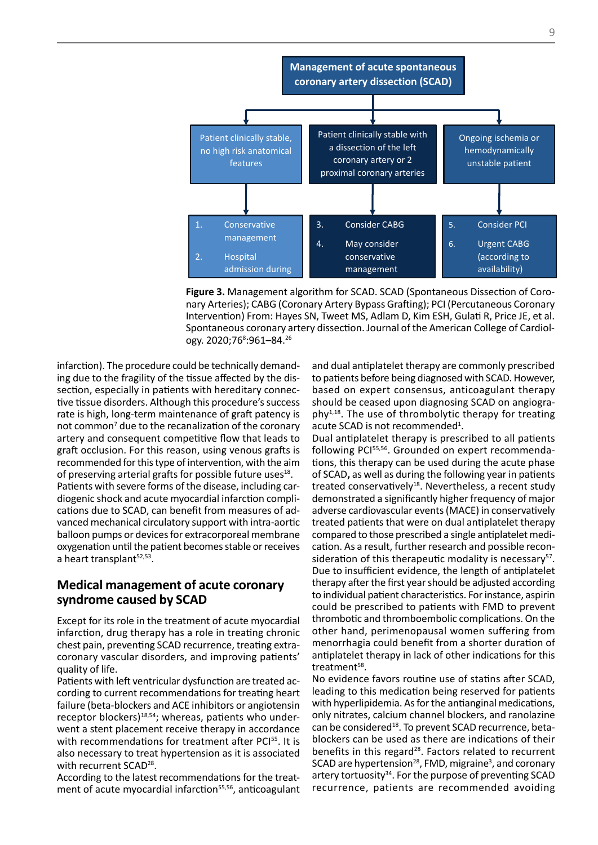

Spontaneous coronary artery dissection. Journal of the American College of Cardiol-**Figure 3.** Management algorithm for SCAD. SCAD (Spontaneous Dissection of Coronary Arteries); CABG (Coronary Artery Bypass Grafting); PCI (Percutaneous Coronary Intervention) From: Hayes SN, Tweet MS, Adlam D, Kim ESH, Gulati R, Price JE, et al. ogy. 2020;76<sup>8</sup>:961–84.<sup>26</sup>

infarction). The procedure could be technically demanding due to the fragility of the tissue affected by the dissection, especially in patients with hereditary connective tissue disorders. Although this procedure's success rate is high, long-term maintenance of graft patency is not common<sup>7</sup> due to the recanalization of the coronary artery and consequent competitive flow that leads to graft occlusion. For this reason, using venous grafts is recommended for this type of intervention, with the aim of preserving arterial grafts for possible future uses<sup>18</sup>. Patients with severe forms of the disease, including cardiogenic shock and acute myocardial infarction complications due to SCAD, can benefit from measures of advanced mechanical circulatory support with intra-aortic balloon pumps or devices for extracorporeal membrane oxygenation until the patient becomes stable or receives a heart transplant<sup>52,53</sup>.

#### **Medical management of acute coronary syndrome caused by SCAD**

Except for its role in the treatment of acute myocardial infarction, drug therapy has a role in treating chronic chest pain, preventing SCAD recurrence, treating extracoronary vascular disorders, and improving patients' quality of life.

Patients with left ventricular dysfunction are treated according to current recommendations for treating heart failure (beta-blockers and ACE inhibitors or angiotensin receptor blockers)<sup>18,54</sup>; whereas, patients who underwent a stent placement receive therapy in accordance with recommendations for treatment after PCI<sup>55</sup>. It is also necessary to treat hypertension as it is associated with recurrent SCAD<sup>28</sup>.

According to the latest recommendations for the treatment of acute myocardial infarction<sup>55,56</sup>, anticoagulant

and dual antiplatelet therapy are commonly prescribed to be teaming the distribution of the distribution of the teaming presention.<br>Issue affected by the dis-<br>International before being diagnosed with SCAD. However, with hereditary connec-<br>based on expert consensus, anticoagulant therapy<br> $\frac{1}{2}$ should be ceased upon diagnosing SCAD on angiogra $phv^{1,18}$ . The use of thrombolytic therapy for treating acute SCAD is not recommended<sup>1</sup>.

> Dual antiplatelet therapy is prescribed to all patients following PCI<sup>55,56</sup>. Grounded on expert recommendations, this therapy can be used during the acute phase of SCAD**,** as well as during the following year in patients treated conservatively<sup>18</sup>. Nevertheless, a recent study demonstrated a significantly higher frequency of major adverse cardiovascular events (MACE) in conservatively treated patients that were on dual antiplatelet therapy compared to those prescribed a single antiplatelet medication. As a result, further research and possible reconsideration of this therapeutic modality is necessary $57$ . Due to insufficient evidence, the length of antiplatelet therapy after the first year should be adjusted according to individual patient characteristics. For instance, aspirin could be prescribed to patients with FMD to prevent thrombotic and thromboembolic complications. On the other hand, perimenopausal women suffering from menorrhagia could benefit from a shorter duration of antiplatelet therapy in lack of other indications for this treatment<sup>58</sup>.

> No evidence favors routine use of statins after SCAD, leading to this medication being reserved for patients with hyperlipidemia. As for the antianginal medications, only nitrates, calcium channel blockers, and ranolazine can be considered<sup>18</sup>. To prevent SCAD recurrence, betablockers can be used as there are indications of their benefits in this regard<sup>28</sup>. Factors related to recurrent SCAD are hypertension<sup>28</sup>, FMD, migraine<sup>3</sup>, and coronary artery tortuosity $34$ . For the purpose of preventing SCAD recurrence, patients are recommended avoiding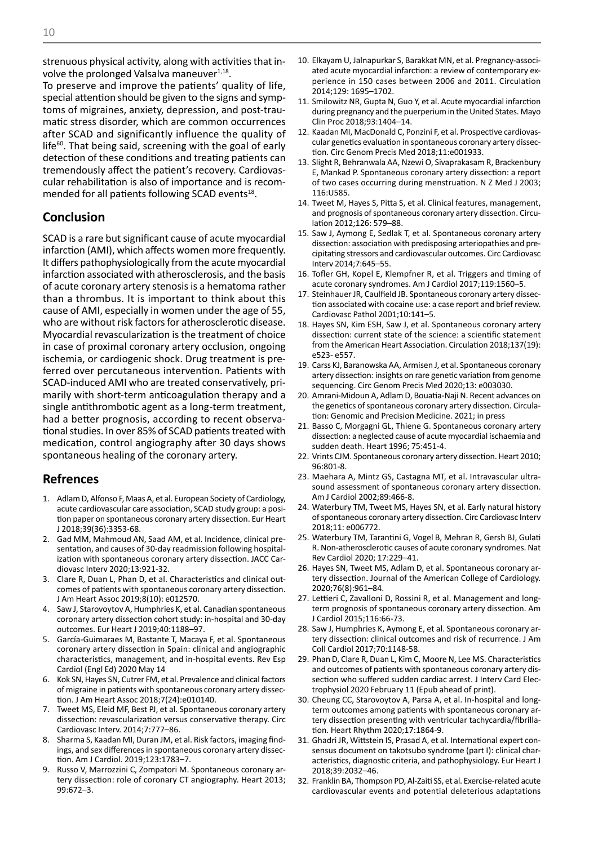strenuous physical activity, along with activities that involve the prolonged Valsalva maneuver $1,18$ .

To preserve and improve the patients' quality of life, special attention should be given to the signs and symptoms of migraines, anxiety, depression, and post-traumatic stress disorder, which are common occurrences after SCAD and significantly influence the quality of  $l$  life $60$ . That being said, screening with the goal of early detection of these conditions and treating patients can tremendously affect the patient's recovery. Cardiovascular rehabilitation is also of importance and is recommended for all patients following SCAD events<sup>18</sup>.

#### **Conclusion**

SCAD is a rare but significant cause of acute myocardial infarction (AMI), which affects women more frequently. It differs pathophysiologically from the acute myocardial infarction associated with atherosclerosis, and the basis of acute coronary artery stenosis is a hematoma rather than a thrombus. It is important to think about this cause of AMI, especially in women under the age of 55, who are without risk factors for atherosclerotic disease. Myocardial revascularization is the treatment of choice in case of proximal coronary artery occlusion, ongoing ischemia, or cardiogenic shock. Drug treatment is preferred over percutaneous intervention. Patients with SCAD-induced AMI who are treated conservatively, primarily with short-term anticoagulation therapy and a single antithrombotic agent as a long-term treatment, had a better prognosis, according to recent observational studies. In over 85% of SCAD patients treated with medication, control angiography after 30 days shows spontaneous healing of the coronary artery.

#### **Refrences**

- 1. Adlam D, Alfonso F, Maas A, et al. European Society of Cardiology, acute cardiovascular care association, SCAD study group: a position paper on spontaneous coronary artery dissection. Eur Heart J 2018;39(36):3353-68.
- 2. Gad MM, Mahmoud AN, Saad AM, et al. Incidence, clinical presentation, and causes of 30-day readmission following hospitalization with spontaneous coronary artery dissection. JACC Cardiovasc Interv 2020;13:921-32.
- 3. Clare R, Duan L, Phan D, et al. Characteristics and clinical outcomes of patients with spontaneous coronary artery dissection. J Am Heart Assoc 2019;8(10): e012570.
- 4. Saw J, Starovoytov A, Humphries K, et al. Canadian spontaneous coronary artery dissection cohort study: in-hospital and 30-day outcomes. Eur Heart J 2019;40:1188–97.
- 5. García-Guimaraes M, Bastante T, Macaya F, et al. Spontaneous coronary artery dissection in Spain: clinical and angiographic characteristics, management, and in-hospital events. Rev Esp Cardiol (Engl Ed) 2020 May 14
- 6. Kok SN, Hayes SN, Cutrer FM, et al. Prevalence and clinical factors of migraine in patients with spontaneous coronary artery dissection. J Am Heart Assoc 2018;7(24):e010140.
- 7. Tweet MS, Eleid MF, Best PJ, et al. Spontaneous coronary artery dissection: revascularization versus conservative therapy. Circ Cardiovasc Interv. 2014;7:777–86.
- 8. Sharma S, Kaadan MI, Duran JM, et al. Risk factors, imaging findings, and sex differences in spontaneous coronary artery dissection. Am J Cardiol. 2019;123:1783–7.
- 9. Russo V, Marrozzini C, Zompatori M. Spontaneous coronary artery dissection: role of coronary CT angiography. Heart 2013; 99:672–3.
- 10. Elkayam U, Jalnapurkar S, Barakkat MN, et al. Pregnancy-associated acute myocardial infarction: a review of contemporary experience in 150 cases between 2006 and 2011. Circulation 2014;129: 1695–1702.
- 11. Smilowitz NR, Gupta N, Guo Y, et al. Acute myocardial infarction during pregnancy and the puerperium in the United States. Mayo Clin Proc 2018;93:1404–14.
- 12. Kaadan MI, MacDonald C, Ponzini F, et al. Prospective cardiovascular genetics evaluation in spontaneous coronary artery dissection. Circ Genom Precis Med 2018;11:e001933.
- 13. Slight R, Behranwala AA, Nzewi O, Sivaprakasam R, Brackenbury E, Mankad P. Spontaneous coronary artery dissection: a report of two cases occurring during menstruation. N Z Med J 2003; 116:U585.
- 14. Tweet M, Hayes S, Pitta S, et al. Clinical features, management, and prognosis of spontaneous coronary artery dissection. Circulation 2012;126: 579–88.
- 15. Saw J, Aymong E, Sedlak T, et al. Spontaneous coronary artery dissection: association with predisposing arteriopathies and precipitating stressors and cardiovascular outcomes. Circ Cardiovasc Interv 2014;7:645–55.
- 16. Tofler GH, Kopel E, Klempfner R, et al. Triggers and timing of acute coronary syndromes. Am J Cardiol 2017;119:1560–5.
- 17. Steinhauer JR, Caulfield JB. Spontaneous coronary artery dissection associated with cocaine use: a case report and brief review. Cardiovasc Pathol 2001;10:141–5.
- 18. Hayes SN, Kim ESH, Saw J, et al. Spontaneous coronary artery dissection: current state of the science: a scientific statement from the American Heart Association. Circulation 2018;137(19): e523- e557.
- 19. Carss KJ, Baranowska AA, Armisen J, et al. Spontaneous coronary artery dissection: insights on rare genetic variation from genome sequencing. Circ Genom Precis Med 2020;13: e003030.
- 20. Amrani-Midoun A, Adlam D, Bouatia-Naji N. Recent advances on the genetics of spontaneous coronary artery dissection. Circulation: Genomic and Precision Medicine. 2021; in press
- 21. Basso C, Morgagni GL, Thiene G. Spontaneous coronary artery dissection: a neglected cause of acute myocardial ischaemia and sudden death. Heart 1996; 75:451-4.
- 22. Vrints CJM. Spontaneous coronary artery dissection. Heart 2010; 96:801-8.
- 23. Maehara A, Mintz GS, Castagna MT, et al. Intravascular ultrasound assessment of spontaneous coronary artery dissection. Am J Cardiol 2002;89:466-8.
- 24. Waterbury TM, Tweet MS, Hayes SN, et al. Early natural history of spontaneous coronary artery dissection. Circ Cardiovasc Interv 2018;11: e006772.
- 25. Waterbury TM, Tarantini G, Vogel B, Mehran R, Gersh BJ, Gulati R. Non-atherosclerotic causes of acute coronary syndromes. Nat Rev Cardiol 2020; 17:229–41.
- 26. Hayes SN, Tweet MS, Adlam D, et al. Spontaneous coronary artery dissection. Journal of the American College of Cardiology. 2020;76(8):961–84.
- 27. Lettieri C, Zavalloni D, Rossini R, et al. Management and longterm prognosis of spontaneous coronary artery dissection. Am J Cardiol 2015;116:66-73.
- 28. Saw J, Humphries K, Aymong E, et al. Spontaneous coronary artery dissection: clinical outcomes and risk of recurrence. J Am Coll Cardiol 2017;70:1148-58.
- 29. Phan D, Clare R, Duan L, Kim C, Moore N, Lee MS. Characteristics and outcomes of patients with spontaneous coronary artery dissection who suffered sudden cardiac arrest. J Interv Card Electrophysiol 2020 February 11 (Epub ahead of print).
- 30. Cheung CC, Starovoytov A, Parsa A, et al. In-hospital and longterm outcomes among patients with spontaneous coronary artery dissection presenting with ventricular tachycardia/fibrillation. Heart Rhythm 2020;17:1864-9.
- 31. Ghadri JR, Wittstein IS, Prasad A, et al. International expert consensus document on takotsubo syndrome (part I): clinical characteristics, diagnostic criteria, and pathophysiology. Eur Heart J 2018;39:2032–46.
- 32. Franklin BA, Thompson PD, Al-Zaiti SS, et al. Exercise-related acute cardiovascular events and potential deleterious adaptations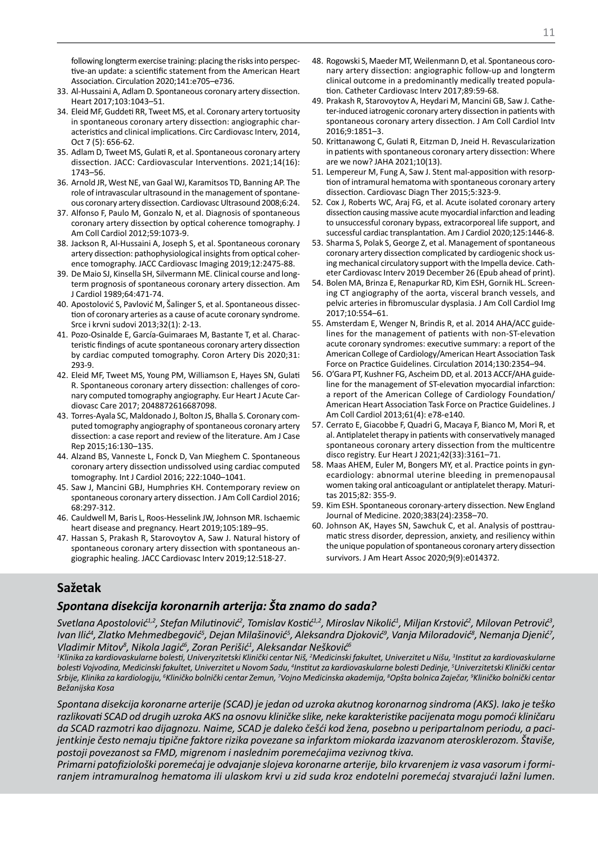following longterm exercise training: placing the risks into perspective-an update: a scientific statement from the American Heart Association. Circulation 2020;141:e705–e736.

- 33. Al-Hussaini A, Adlam D. Spontaneous coronary artery dissection. Heart 2017;103:1043–51.
- 34. Eleid MF, Guddeti RR, Tweet MS, et al. Coronary artery tortuosity in spontaneous coronary artery dissection: angiographic characteristics and clinical implications. Circ Cardiovasc Interv, 2014, Oct 7 (5): 656-62.
- 35. Adlam D, Tweet MS, Gulati R, et al. Spontaneous coronary artery dissection. JACC: Cardiovascular Interventions. 2021;14(16): 1743–56.
- 36. Arnold JR, West NE, van Gaal WJ, Karamitsos TD, Banning AP. The role of intravascular ultrasound in the management of spontaneous coronary artery dissection. Cardiovasc Ultrasound 2008;6:24.
- 37. Alfonso F, Paulo M, Gonzalo N, et al. Diagnosis of spontaneous coronary artery dissection by optical coherence tomography. J Am Coll Cardiol 2012;59:1073-9.
- 38. Jackson R, Al-Hussaini A, Joseph S, et al. Spontaneous coronary artery dissection: pathophysiological insights from optical coherence tomography. JACC Cardiovasc Imaging 2019;12:2475-88.
- 39. De Maio SJ, Kinsella SH, Silvermann ME. Clinical course and longterm prognosis of spontaneous coronary artery dissection. Am J Cardiol 1989;64:471-74.
- 40. Apostolović S, Pavlović M, Šalinger S, et al. Spontaneous dissection of coronary arteries as a cause of acute coronary syndrome. Srce i krvni sudovi 2013;32(1): 2-13.
- 41. Pozo-Osinalde E, García-Guimaraes M, Bastante T, et al. Characteristic findings of acute spontaneous coronary artery dissection by cardiac computed tomography. Coron Artery Dis 2020;31: 293-9.
- 42. Eleid MF, Tweet MS, Young PM, Williamson E, Hayes SN, Gulati R. Spontaneous coronary artery dissection: challenges of coronary computed tomography angiography. Eur Heart J Acute Cardiovasc Care 2017; 2048872616687098.
- 43. Torres-Ayala SC, Maldonado J, Bolton JS, Bhalla S. Coronary computed tomography angiography of spontaneous coronary artery dissection: a case report and review of the literature. Am J Case Rep 2015;16:130–135.
- 44. Alzand BS, Vanneste L, Fonck D, Van Mieghem C. Spontaneous coronary artery dissection undissolved using cardiac computed tomography. Int J Cardiol 2016; 222:1040–1041.
- 45. Saw J, Mancini GBJ, Humphries KH. Contemporary review on spontaneous coronary artery dissection. J Am Coll Cardiol 2016; 68:297-312.
- 46. Cauldwell M, Baris L, Roos-Hesselink JW, Johnson MR. Ischaemic heart disease and pregnancy. Heart 2019;105:189–95.
- 47. Hassan S, Prakash R, Starovoytov A, Saw J. Natural history of spontaneous coronary artery dissection with spontaneous angiographic healing. JACC Cardiovasc Interv 2019;12:518-27.
- 48. Rogowski S, Maeder MT, Weilenmann D, et al. Spontaneous coronary artery dissection: angiographic follow-up and longterm clinical outcome in a predominantly medically treated population. Catheter Cardiovasc Interv 2017;89:59-68.
- 49. Prakash R, Starovoytov A, Heydari M, Mancini GB, Saw J. Catheter-induced iatrogenic coronary artery dissection in patients with spontaneous coronary artery dissection. J Am Coll Cardiol Intv 2016;9:1851–3.
- 50. Krittanawong C, Gulati R, Eitzman D, Jneid H. Revascularization in patients with spontaneous coronary artery dissection: Where are we now? JAHA 2021;10(13).
- 51. Lempereur M, Fung A, Saw J. Stent mal-apposition with resorption of intramural hematoma with spontaneous coronary artery dissection. Cardiovasc Diagn Ther 2015;5:323-9.
- 52. Cox J, Roberts WC, Araj FG, et al. Acute isolated coronary artery dissection causing massive acute myocardial infarction and leading to unsuccessful coronary bypass, extracorporeal life support, and successful cardiac transplantation. Am J Cardiol 2020;125:1446-8.
- 53. Sharma S, Polak S, George Z, et al. Management of spontaneous coronary artery dissection complicated by cardiogenic shock using mechanical circulatory support with the Impella device. Catheter Cardiovasc Interv 2019 December 26 (Epub ahead of print).
- 54. Bolen MA, Brinza E, Renapurkar RD, Kim ESH, Gornik HL. Screening CT angiography of the aorta, visceral branch vessels, and pelvic arteries in fibromuscular dysplasia. J Am Coll Cardiol Img 2017;10:554–61.
- 55. Amsterdam E, Wenger N, Brindis R, et al. 2014 AHA/ACC guidelines for the management of patients with non-ST-elevation acute coronary syndromes: executive summary: a report of the American College of Cardiology/American Heart Association Task Force on Practice Guidelines. Circulation 2014;130:2354–94.
- 56. O'Gara PT, Kushner FG, Ascheim DD, et al. 2013 ACCF/AHA guideline for the management of ST-elevation myocardial infarction: a report of the American College of Cardiology Foundation/ American Heart Association Task Force on Practice Guidelines. J Am Coll Cardiol 2013;61(4): e78-e140.
- 57. Cerrato E, Giacobbe F, Quadri G, Macaya F, Bianco M, Mori R, et al. Antiplatelet therapy in patients with conservatively managed spontaneous coronary artery dissection from the multicentre disco registry. Eur Heart J 2021;42(33):3161–71.
- 58. Maas AHEM, Euler M, Bongers MY, et al. Practice points in gynecardiology: abnormal uterine bleeding in premenopausal women taking oral anticoagulant or antiplatelet therapy. Maturitas 2015;82: 355-9.
- 59. Kim ESH. Spontaneous coronary-artery dissection. New England Journal of Medicine. 2020;383(24):2358–70.
- 60. Johnson AK, Hayes SN, Sawchuk C, et al. Analysis of posttraumatic stress disorder, depression, anxiety, and resiliency within the unique population of spontaneous coronary artery dissection survivors. J Am Heart Assoc 2020;9(9):e014372.

## **Sažetak**

#### *Spontana disekcija koronarnih arterija: Šta znamo do sada?*

*Svetlana Apostolović1,2, Stefan Milutinović<sup>2</sup> , Tomislav Kostić1,2, Miroslav Nikolić<sup>1</sup> , Miljan Krstović<sup>2</sup> , Milovan Petrović<sup>3</sup> ,*  lvan Ilić<sup>4</sup>, Zlatko Mehmedbegović<sup>5</sup>, Dejan Milašinović<sup>5</sup>, Aleksandra Djoković<sup>9</sup>, Vanja Miloradović<sup>8</sup>, Nemanja Djenić<sup>7</sup>, *Vladimir Mitov<sup>8</sup> , Nikola Jagić<sup>6</sup> , Zoran Perišić<sup>1</sup> , Aleksandar Nešković<sup>6</sup>*

 $^{\text{1}}$ Klinika za kardiovaskularne bolesti, Univeryzitetski Klinički centar Niš, <sup>2</sup>Medicinski fakultet, Univerzitet u Nišu, <sup>3</sup>Institut za kardiovaskularne bolesti Vojvodina, Medicinski fakultet, Univerzitet u Novom Sadu, <sup>4</sup>Institut za kardiovaskularne bolesti Dedinje, <sup>s</sup>Univerzitetski Klinički centar *Srbije, Klinika za kardiologiju, <sup>6</sup> Kliničko bolnički centar Zemun, 7 Vojno Medicinska akademija, <sup>8</sup> Opšta bolnica Zaječar, <sup>9</sup> Kliničko bolnički centar Bežanijska Kosa*

*Spontana disekcija koronarne arterije (SCAD) je jedan od uzroka akutnog koronarnog sindroma (AKS). Iako je teško razlikovati SCAD od drugih uzroka AKS na osnovu kliničke slike, neke karakteristike pacijenata mogu pomoći kliničaru da SCAD razmotri kao dijagnozu. Naime, SCAD je daleko češći kod žena, posebno u peripartalnom periodu, a pacijentkinje često nemaju tipične faktore rizika povezane sa infarktom miokarda izazvanom aterosklerozom. Štaviše, postoji povezanost sa FMD, migrenom i naslednim poremećajima vezivnog tkiva.*

*Primarni patofiziološki poremećaj je odvajanje slojeva koronarne arterije, bilo krvarenjem iz vasa vasorum i formiranjem intramuralnog hematoma ili ulaskom krvi u zid suda kroz endotelni poremećaj stvarajući lažni lumen.*